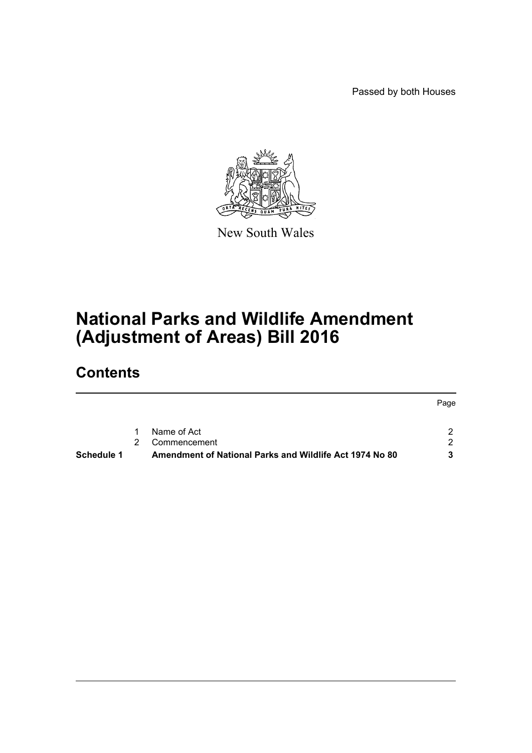Passed by both Houses



New South Wales

# **National Parks and Wildlife Amendment (Adjustment of Areas) Bill 2016**

# **Contents**

| Schedule 1 |               | Amendment of National Parks and Wildlife Act 1974 No 80 | -2   |
|------------|---------------|---------------------------------------------------------|------|
|            | $\mathcal{P}$ | Commencement                                            | 2.   |
|            | $\mathbf{1}$  | Name of Act                                             |      |
|            |               |                                                         |      |
|            |               |                                                         | Page |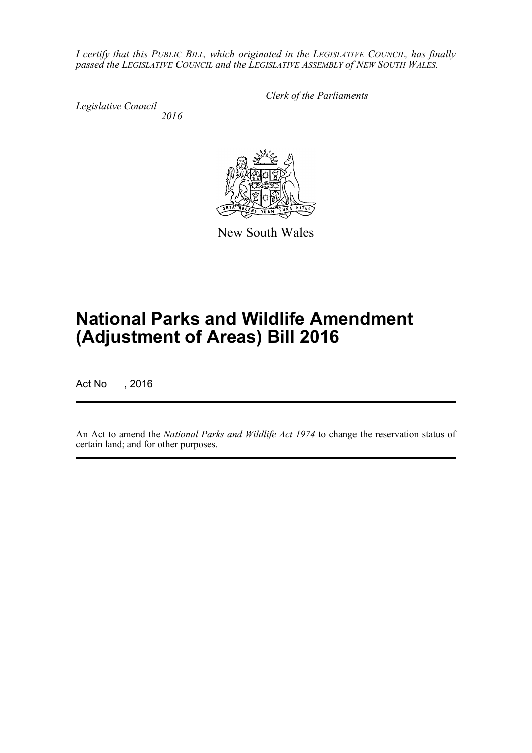*I certify that this PUBLIC BILL, which originated in the LEGISLATIVE COUNCIL, has finally passed the LEGISLATIVE COUNCIL and the LEGISLATIVE ASSEMBLY of NEW SOUTH WALES.*

*Legislative Council 2016* *Clerk of the Parliaments*



New South Wales

# **National Parks and Wildlife Amendment (Adjustment of Areas) Bill 2016**

Act No , 2016

An Act to amend the *National Parks and Wildlife Act 1974* to change the reservation status of certain land; and for other purposes.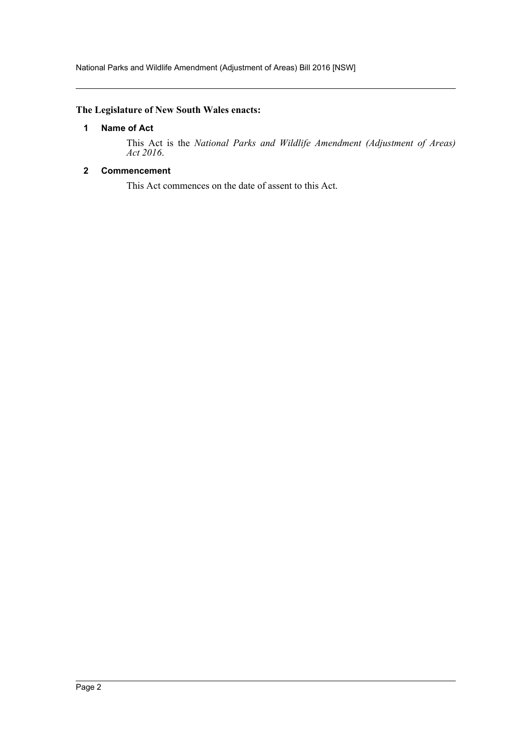## <span id="page-2-0"></span>**The Legislature of New South Wales enacts:**

## **1 Name of Act**

This Act is the *National Parks and Wildlife Amendment (Adjustment of Areas) Act 2016*.

## <span id="page-2-1"></span>**2 Commencement**

This Act commences on the date of assent to this Act.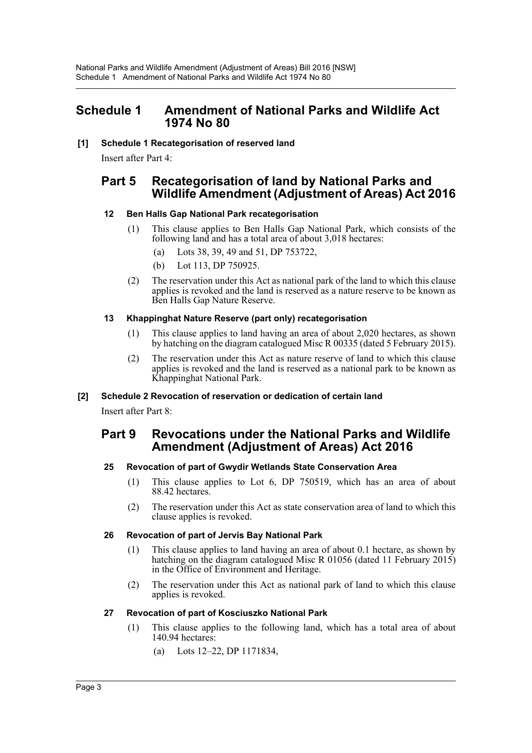# <span id="page-3-0"></span>**Schedule 1 Amendment of National Parks and Wildlife Act 1974 No 80**

#### **[1] Schedule 1 Recategorisation of reserved land**

Insert after Part 4:

# **Part 5 Recategorisation of land by National Parks and Wildlife Amendment (Adjustment of Areas) Act 2016**

## **12 Ben Halls Gap National Park recategorisation**

- (1) This clause applies to Ben Halls Gap National Park, which consists of the following land and has a total area of about 3,018 hectares:
	- (a) Lots 38, 39, 49 and 51, DP 753722,
	- (b) Lot 113, DP 750925.
- (2) The reservation under this Act as national park of the land to which this clause applies is revoked and the land is reserved as a nature reserve to be known as Ben Halls Gap Nature Reserve.

## **13 Khappinghat Nature Reserve (part only) recategorisation**

- (1) This clause applies to land having an area of about 2,020 hectares, as shown by hatching on the diagram catalogued Misc R 00335 (dated 5 February 2015).
- (2) The reservation under this Act as nature reserve of land to which this clause applies is revoked and the land is reserved as a national park to be known as Khappinghat National Park.

## **[2] Schedule 2 Revocation of reservation or dedication of certain land**

Insert after Part 8:

# **Part 9 Revocations under the National Parks and Wildlife Amendment (Adjustment of Areas) Act 2016**

# **25 Revocation of part of Gwydir Wetlands State Conservation Area**

- (1) This clause applies to Lot 6, DP 750519, which has an area of about 88.42 hectares.
- (2) The reservation under this Act as state conservation area of land to which this clause applies is revoked.

## **26 Revocation of part of Jervis Bay National Park**

- (1) This clause applies to land having an area of about 0.1 hectare, as shown by hatching on the diagram catalogued Misc R 01056 (dated 11 February 2015) in the Office of Environment and Heritage.
- (2) The reservation under this Act as national park of land to which this clause applies is revoked.

## **27 Revocation of part of Kosciuszko National Park**

- (1) This clause applies to the following land, which has a total area of about 140.94 hectares:
	- (a) Lots 12–22, DP 1171834,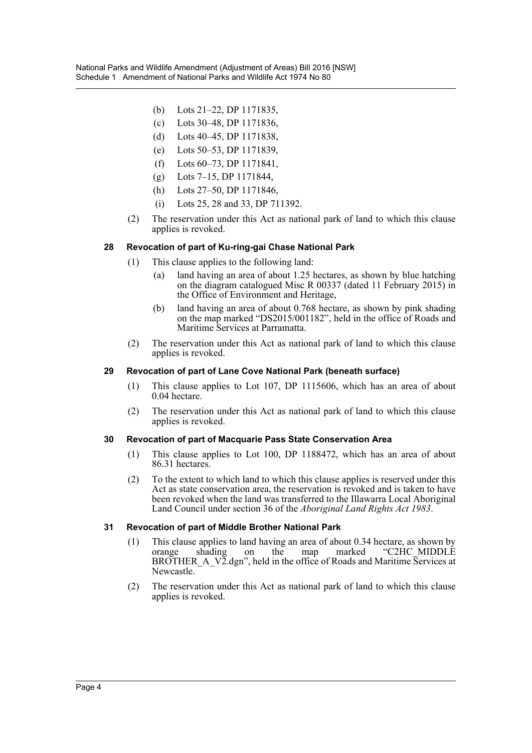- (b) Lots 21–22, DP 1171835,
- (c) Lots 30–48, DP 1171836,
- (d) Lots 40–45, DP 1171838,
- (e) Lots 50–53, DP 1171839,
- (f) Lots 60–73, DP 1171841,
- (g) Lots 7–15, DP 1171844,
- (h) Lots 27–50, DP 1171846,
- (i) Lots 25, 28 and 33, DP 711392.
- (2) The reservation under this Act as national park of land to which this clause applies is revoked.

#### **28 Revocation of part of Ku-ring-gai Chase National Park**

- (1) This clause applies to the following land:
	- (a) land having an area of about 1.25 hectares, as shown by blue hatching on the diagram catalogued Misc R 00337 (dated 11 February 2015) in the Office of Environment and Heritage,
	- (b) land having an area of about 0.768 hectare, as shown by pink shading on the map marked "DS2015/001182", held in the office of Roads and Maritime Services at Parramatta.
- (2) The reservation under this Act as national park of land to which this clause applies is revoked.

#### **29 Revocation of part of Lane Cove National Park (beneath surface)**

- (1) This clause applies to Lot 107, DP 1115606, which has an area of about 0.04 hectare.
- (2) The reservation under this Act as national park of land to which this clause applies is revoked.

#### **30 Revocation of part of Macquarie Pass State Conservation Area**

- (1) This clause applies to Lot 100, DP 1188472, which has an area of about 86.31 hectares.
- (2) To the extent to which land to which this clause applies is reserved under this Act as state conservation area, the reservation is revoked and is taken to have been revoked when the land was transferred to the Illawarra Local Aboriginal Land Council under section 36 of the *Aboriginal Land Rights Act 1983*.

#### **31 Revocation of part of Middle Brother National Park**

- (1) This clause applies to land having an area of about 0.34 hectare, as shown by orange shading on the map marked "C2HC\_MIDDLE BROTHER\_A\_V2.dgn", held in the office of Roads and Maritime Services at Newcastle.
- (2) The reservation under this Act as national park of land to which this clause applies is revoked.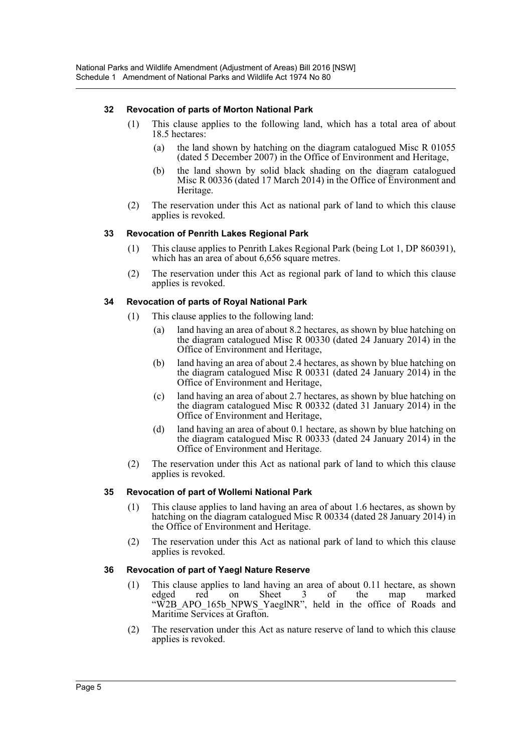#### **32 Revocation of parts of Morton National Park**

- (1) This clause applies to the following land, which has a total area of about 18.5 hectares:
	- (a) the land shown by hatching on the diagram catalogued Misc R 01055 (dated 5 December 2007) in the Office of Environment and Heritage,
	- (b) the land shown by solid black shading on the diagram catalogued Misc R 00336 (dated 17 March 2014) in the Office of Environment and Heritage.
- (2) The reservation under this Act as national park of land to which this clause applies is revoked.

#### **33 Revocation of Penrith Lakes Regional Park**

- (1) This clause applies to Penrith Lakes Regional Park (being Lot 1, DP 860391), which has an area of about 6,656 square metres.
- (2) The reservation under this Act as regional park of land to which this clause applies is revoked.

#### **34 Revocation of parts of Royal National Park**

- (1) This clause applies to the following land:
	- (a) land having an area of about 8.2 hectares, as shown by blue hatching on the diagram catalogued Misc R 00330 (dated 24 January 2014) in the Office of Environment and Heritage,
	- (b) land having an area of about 2.4 hectares, as shown by blue hatching on the diagram catalogued Misc R 00331 (dated 24 January 2014) in the Office of Environment and Heritage,
	- (c) land having an area of about 2.7 hectares, as shown by blue hatching on the diagram catalogued Misc R 00332 (dated 31 January 2014) in the Office of Environment and Heritage,
	- (d) land having an area of about 0.1 hectare, as shown by blue hatching on the diagram catalogued Misc R 00333 (dated 24 January 2014) in the Office of Environment and Heritage.
- (2) The reservation under this Act as national park of land to which this clause applies is revoked.

#### **35 Revocation of part of Wollemi National Park**

- (1) This clause applies to land having an area of about 1.6 hectares, as shown by hatching on the diagram catalogued Misc R 00334 (dated 28 January 2014) in the Office of Environment and Heritage.
- (2) The reservation under this Act as national park of land to which this clause applies is revoked.

#### **36 Revocation of part of Yaegl Nature Reserve**

- (1) This clause applies to land having an area of about 0.11 hectare, as shown edged red on Sheet 3 of the map marked "W2B\_APO\_165b\_NPWS\_YaeglNR", held in the office of Roads and Maritime Services at Grafton.
- (2) The reservation under this Act as nature reserve of land to which this clause applies is revoked.